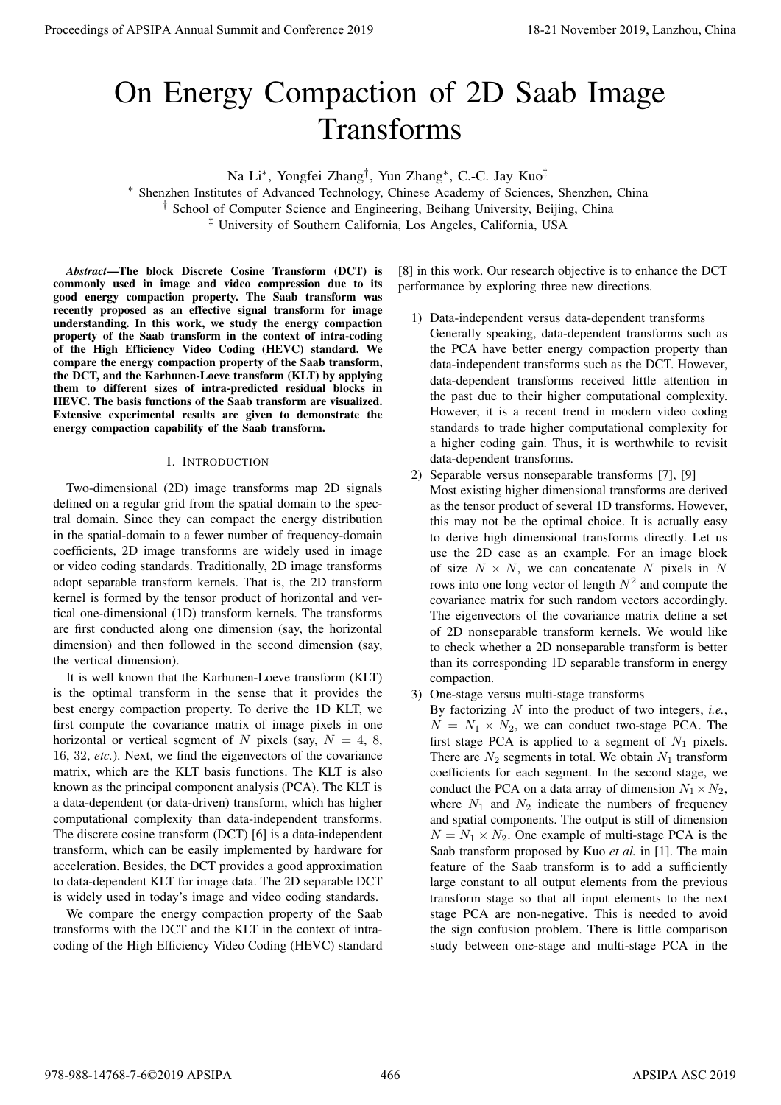# On Energy Compaction of 2D Saab Image Transforms

Na Li*<sup>∗</sup>* , Yongfei Zhang*†* , Yun Zhang*<sup>∗</sup>* , C.-C. Jay Kuo*‡*

*<sup>∗</sup>* Shenzhen Institutes of Advanced Technology, Chinese Academy of Sciences, Shenzhen, China *†* School of Computer Science and Engineering, Beihang University, Beijing, China *‡* University of Southern California, Los Angeles, California, USA

*Abstract*—The block Discrete Cosine Transform (DCT) is commonly used in image and video compression due to its good energy compaction property. The Saab transform was recently proposed as an effective signal transform for image understanding. In this work, we study the energy compaction property of the Saab transform in the context of intra-coding of the High Efficiency Video Coding (HEVC) standard. We compare the energy compaction property of the Saab transform, the DCT, and the Karhunen-Loeve transform (KLT) by applying them to different sizes of intra-predicted residual blocks in HEVC. The basis functions of the Saab transform are visualized. Extensive experimental results are given to demonstrate the energy compaction capability of the Saab transform.

# I. INTRODUCTION

Two-dimensional (2D) image transforms map 2D signals defined on a regular grid from the spatial domain to the spectral domain. Since they can compact the energy distribution in the spatial-domain to a fewer number of frequency-domain coefficients, 2D image transforms are widely used in image or video coding standards. Traditionally, 2D image transforms adopt separable transform kernels. That is, the 2D transform kernel is formed by the tensor product of horizontal and vertical one-dimensional (1D) transform kernels. The transforms are first conducted along one dimension (say, the horizontal dimension) and then followed in the second dimension (say, the vertical dimension).

It is well known that the Karhunen-Loeve transform (KLT) is the optimal transform in the sense that it provides the best energy compaction property. To derive the 1D KLT, we first compute the covariance matrix of image pixels in one horizontal or vertical segment of *N* pixels (say,  $N = 4, 8$ , 16, 32, *etc.*). Next, we find the eigenvectors of the covariance matrix, which are the KLT basis functions. The KLT is also known as the principal component analysis (PCA). The KLT is a data-dependent (or data-driven) transform, which has higher computational complexity than data-independent transforms. The discrete cosine transform (DCT) [6] is a data-independent transform, which can be easily implemented by hardware for acceleration. Besides, the DCT provides a good approximation to data-dependent KLT for image data. The 2D separable DCT is widely used in today's image and video coding standards. **Proceedings of APSIPA Annual Summit and Conference 2019**<br> **Conference 2019**<br> **Conference 2019**<br> **Conference 2019**<br> **Conference 2019**<br> **Conference 2019**<br> **Conference 2019**<br> **Conference 2019**<br> **Conference 2019**<br> **Conferenc** 

We compare the energy compaction property of the Saab transforms with the DCT and the KLT in the context of intracoding of the High Efficiency Video Coding (HEVC) standard

[8] in this work. Our research objective is to enhance the DCT performance by exploring three new directions.

- 1) Data-independent versus data-dependent transforms Generally speaking, data-dependent transforms such as the PCA have better energy compaction property than data-independent transforms such as the DCT. However, data-dependent transforms received little attention in the past due to their higher computational complexity. However, it is a recent trend in modern video coding standards to trade higher computational complexity for a higher coding gain. Thus, it is worthwhile to revisit data-dependent transforms.
- 2) Separable versus nonseparable transforms [7], [9] Most existing higher dimensional transforms are derived as the tensor product of several 1D transforms. However, this may not be the optimal choice. It is actually easy to derive high dimensional transforms directly. Let us use the 2D case as an example. For an image block of size  $N \times N$ , we can concatenate N pixels in N rows into one long vector of length  $N^2$  and compute the covariance matrix for such random vectors accordingly. The eigenvectors of the covariance matrix define a set of 2D nonseparable transform kernels. We would like to check whether a 2D nonseparable transform is better than its corresponding 1D separable transform in energy compaction.
- 3) One-stage versus multi-stage transforms

By factorizing *N* into the product of two integers, *i.e.*,  $N = N_1 \times N_2$ , we can conduct two-stage PCA. The first stage PCA is applied to a segment of  $N_1$  pixels. There are  $N_2$  segments in total. We obtain  $N_1$  transform coefficients for each segment. In the second stage, we conduct the PCA on a data array of dimension  $N_1 \times N_2$ , where  $N_1$  and  $N_2$  indicate the numbers of frequency and spatial components. The output is still of dimension  $N = N_1 \times N_2$ . One example of multi-stage PCA is the Saab transform proposed by Kuo *et al.* in [1]. The main feature of the Saab transform is to add a sufficiently large constant to all output elements from the previous transform stage so that all input elements to the next stage PCA are non-negative. This is needed to avoid the sign confusion problem. There is little comparison study between one-stage and multi-stage PCA in the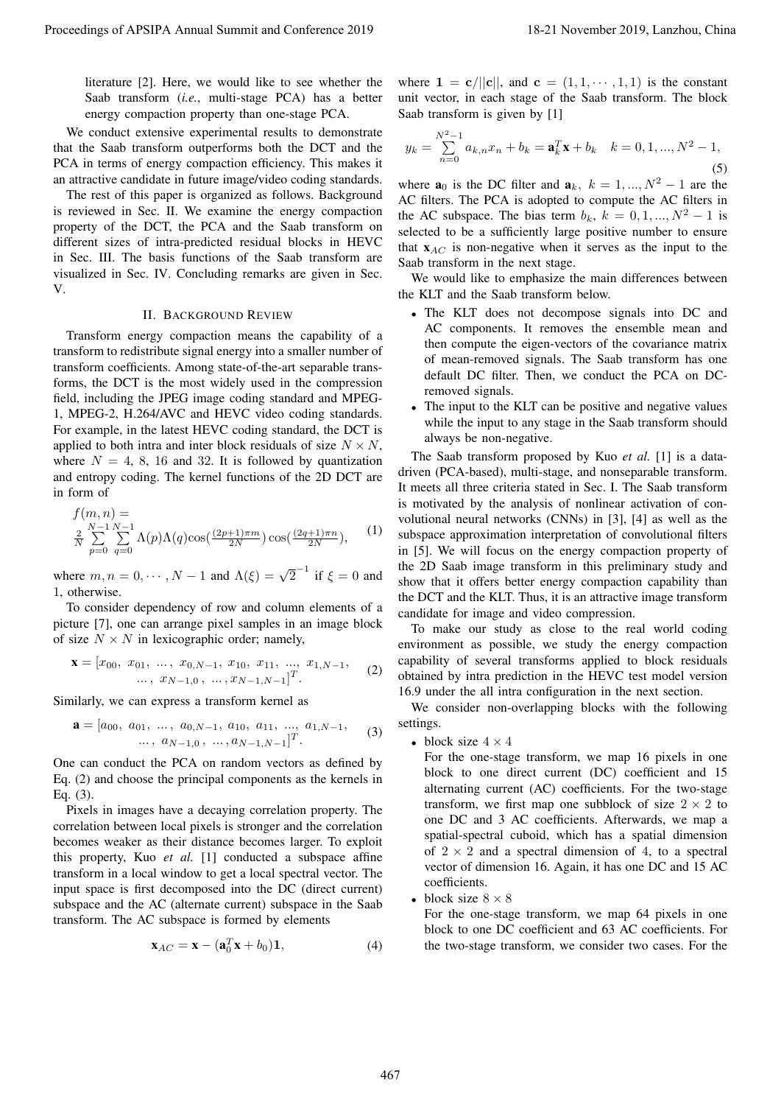literature [2]. Here, we would like to see whether the Saab transform (*i.e.*, multi-stage PCA) has a better energy compaction property than one-stage PCA.

We conduct extensive experimental results to demonstrate that the Saab transform outperforms both the DCT and the PCA in terms of energy compaction efficiency. This makes it an attractive candidate in future image/video coding standards.

The rest of this paper is organized as follows. Background is reviewed in Sec. II. We examine the energy compaction property of the DCT, the PCA and the Saab transform on different sizes of intra-predicted residual blocks in HEVC in Sec. III. The basis functions of the Saab transform are visualized in Sec. IV. Concluding remarks are given in Sec. V.

# II. BACKGROUND REVIEW

Transform energy compaction means the capability of a transform to redistribute signal energy into a smaller number of transform coefficients. Among state-of-the-art separable transforms, the DCT is the most widely used in the compression field, including the JPEG image coding standard and MPEG-1, MPEG-2, H.264/AVC and HEVC video coding standards. For example, in the latest HEVC coding standard, the DCT is applied to both intra and inter block residuals of size  $N \times N$ , where  $N = 4, 8, 16$  and 32. It is followed by quantization and entropy coding. The kernel functions of the 2D DCT are in form of

$$
f(m, n) =
$$
  
\n
$$
\frac{2}{N} \sum_{p=0}^{N-1} \sum_{q=0}^{N-1} \Lambda(p) \Lambda(q) \cos(\frac{(2p+1)\pi m}{2N}) \cos(\frac{(2q+1)\pi n}{2N}),
$$
 (1)

where  $m, n = 0, \dots, N - 1$  and  $\Lambda(\xi) = \sqrt{2}^{-1}$  if  $\xi = 0$  and 1, otherwise.

To consider dependency of row and column elements of a picture [7], one can arrange pixel samples in an image block of size  $N \times N$  in lexicographic order; namely,

$$
\mathbf{x} = [x_{00}, x_{01}, \dots, x_{0,N-1}, x_{10}, x_{11}, \dots, x_{1,N-1}, \dots, x_{N-1,0}, \dots, x_{N-1,N-1}]^T.
$$
 (2)

Similarly, we can express a transform kernel as

$$
\mathbf{a} = [a_{00}, a_{01}, \dots, a_{0,N-1}, a_{10}, a_{11}, \dots, a_{1,N-1}, \dots, a_{N-1,0}, \dots, a_{N-1,N-1}]^T.
$$
 (3)

One can conduct the PCA on random vectors as defined by Eq. (2) and choose the principal components as the kernels in Eq. (3).

Pixels in images have a decaying correlation property. The correlation between local pixels is stronger and the correlation becomes weaker as their distance becomes larger. To exploit this property, Kuo *et al.* [1] conducted a subspace affine transform in a local window to get a local spectral vector. The input space is first decomposed into the DC (direct current) subspace and the AC (alternate current) subspace in the Saab transform. The AC subspace is formed by elements

$$
\mathbf{x}_{AC} = \mathbf{x} - (\mathbf{a}_0^T \mathbf{x} + b_0) \mathbf{1},\tag{4}
$$

where  $\mathbf{1} = \mathbf{c} / ||\mathbf{c}||$ , and  $\mathbf{c} = (1, 1, \dots, 1, 1)$  is the constant unit vector, in each stage of the Saab transform. The block Saab transform is given by [1]

$$
y_k = \sum_{n=0}^{N^2 - 1} a_{k,n} x_n + b_k = \mathbf{a}_k^T \mathbf{x} + b_k \quad k = 0, 1, ..., N^2 - 1,
$$
\n(5)

where  $\mathbf{a}_0$  is the DC filter and  $\mathbf{a}_k$ *,*  $k = 1, ..., N^2 - 1$  are the AC filters. The PCA is adopted to compute the AC filters in the AC subspace. The bias term  $b_k$ ,  $k = 0, 1, ..., N^2 - 1$  is selected to be a sufficiently large positive number to ensure that x*AC* is non-negative when it serves as the input to the Saab transform in the next stage.

We would like to emphasize the main differences between the KLT and the Saab transform below.

- The KLT does not decompose signals into DC and AC components. It removes the ensemble mean and then compute the eigen-vectors of the covariance matrix of mean-removed signals. The Saab transform has one default DC filter. Then, we conduct the PCA on DCremoved signals.
- *•* The input to the KLT can be positive and negative values while the input to any stage in the Saab transform should always be non-negative.

The Saab transform proposed by Kuo *et al.* [1] is a datadriven (PCA-based), multi-stage, and nonseparable transform. It meets all three criteria stated in Sec. I. The Saab transform is motivated by the analysis of nonlinear activation of convolutional neural networks (CNNs) in [3], [4] as well as the subspace approximation interpretation of convolutional filters in [5]. We will focus on the energy compaction property of the 2D Saab image transform in this preliminary study and show that it offers better energy compaction capability than the DCT and the KLT. Thus, it is an attractive image transform candidate for image and video compression. Proceeding of APSIPA Annual Summit at China 5 the Lanzhou in Eq. 1 13-21 November 2019, Lanzhou 2019, Lanzhou 2019, Lanzhou 2019, Lanzhou 2019, Lanzhou 2019, Lanzhou 2019, Lanzhou 2019, Lanzhou 2019, Lanzhou 2019, Lanzhou

To make our study as close to the real world coding environment as possible, we study the energy compaction capability of several transforms applied to block residuals obtained by intra prediction in the HEVC test model version 16.9 under the all intra configuration in the next section.

We consider non-overlapping blocks with the following settings.

*•* block size 4 *×* 4

For the one-stage transform, we map 16 pixels in one block to one direct current (DC) coefficient and 15 alternating current (AC) coefficients. For the two-stage transform, we first map one subblock of size  $2 \times 2$  to one DC and 3 AC coefficients. Afterwards, we map a spatial-spectral cuboid, which has a spatial dimension of  $2 \times 2$  and a spectral dimension of 4, to a spectral vector of dimension 16. Again, it has one DC and 15 AC coefficients.

**block** size  $8 \times 8$ 

For the one-stage transform, we map 64 pixels in one block to one DC coefficient and 63 AC coefficients. For the two-stage transform, we consider two cases. For the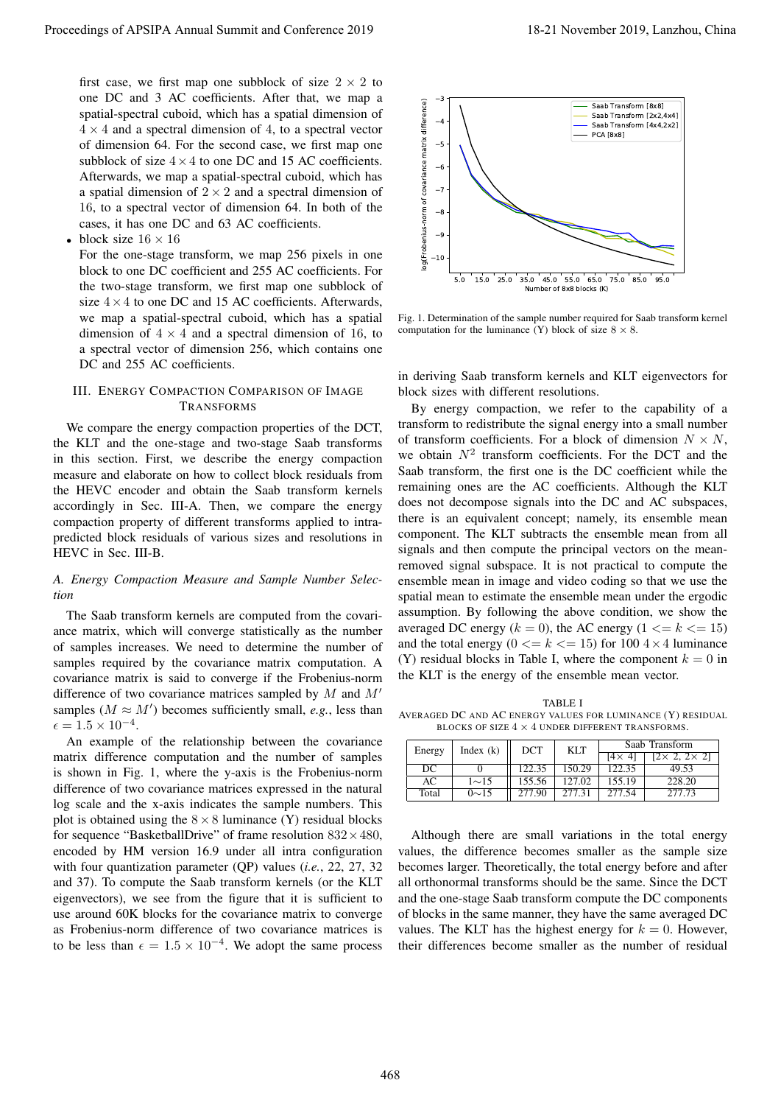first case, we first map one subblock of size  $2 \times 2$  to one DC and 3 AC coefficients. After that, we map a spatial-spectral cuboid, which has a spatial dimension of  $4 \times 4$  and a spectral dimension of 4, to a spectral vector of dimension 64. For the second case, we first map one subblock of size  $4 \times 4$  to one DC and 15 AC coefficients. Afterwards, we map a spatial-spectral cuboid, which has a spatial dimension of 2 *×* 2 and a spectral dimension of 16, to a spectral vector of dimension 64. In both of the cases, it has one DC and 63 AC coefficients.

*•* block size 16 *×* 16

For the one-stage transform, we map 256 pixels in one block to one DC coefficient and 255 AC coefficients. For the two-stage transform, we first map one subblock of size  $4 \times 4$  to one DC and 15 AC coefficients. Afterwards, we map a spatial-spectral cuboid, which has a spatial dimension of  $4 \times 4$  and a spectral dimension of 16, to a spectral vector of dimension 256, which contains one DC and 255 AC coefficients.

# III. ENERGY COMPACTION COMPARISON OF IMAGE TRANSFORMS

We compare the energy compaction properties of the DCT, the KLT and the one-stage and two-stage Saab transforms in this section. First, we describe the energy compaction measure and elaborate on how to collect block residuals from the HEVC encoder and obtain the Saab transform kernels accordingly in Sec. III-A. Then, we compare the energy compaction property of different transforms applied to intrapredicted block residuals of various sizes and resolutions in HEVC in Sec. III-B.

# *A. Energy Compaction Measure and Sample Number Selection*

The Saab transform kernels are computed from the covariance matrix, which will converge statistically as the number of samples increases. We need to determine the number of samples required by the covariance matrix computation. A covariance matrix is said to converge if the Frobenius-norm difference of two covariance matrices sampled by *M* and *M′* samples  $(M \approx M')$  becomes sufficiently small, *e.g.*, less than  $\epsilon = 1.5 \times 10^{-4}.$ 

An example of the relationship between the covariance matrix difference computation and the number of samples is shown in Fig. 1, where the y-axis is the Frobenius-norm difference of two covariance matrices expressed in the natural log scale and the x-axis indicates the sample numbers. This plot is obtained using the  $8 \times 8$  luminance (Y) residual blocks for sequence "BasketballDrive" of frame resolution 832*×*480, encoded by HM version 16.9 under all intra configuration with four quantization parameter (QP) values (*i.e.*, 22, 27, 32 and 37). To compute the Saab transform kernels (or the KLT eigenvectors), we see from the figure that it is sufficient to use around 60K blocks for the covariance matrix to converge as Frobenius-norm difference of two covariance matrices is to be less than  $\epsilon = 1.5 \times 10^{-4}$ . We adopt the same process



Fig. 1. Determination of the sample number required for Saab transform kernel computation for the luminance (Y) block of size  $8 \times 8$ .

in deriving Saab transform kernels and KLT eigenvectors for block sizes with different resolutions.

By energy compaction, we refer to the capability of a transform to redistribute the signal energy into a small number of transform coefficients. For a block of dimension  $N \times N$ , we obtain  $N^2$  transform coefficients. For the DCT and the Saab transform, the first one is the DC coefficient while the remaining ones are the AC coefficients. Although the KLT does not decompose signals into the DC and AC subspaces, there is an equivalent concept; namely, its ensemble mean component. The KLT subtracts the ensemble mean from all signals and then compute the principal vectors on the meanremoved signal subspace. It is not practical to compute the ensemble mean in image and video coding so that we use the spatial mean to estimate the ensemble mean under the ergodic assumption. By following the above condition, we show the averaged DC energy  $(k = 0)$ , the AC energy  $(1 \le k \le 15)$ and the total energy  $(0 \le k \le 15)$  for  $100.4 \times 4$  luminance (Y) residual blocks in Table I, where the component  $k = 0$  in the KLT is the energy of the ensemble mean vector. Proceeding of APSIPA Annual Summit at China 468-221 Proceedings of APSIPA Annual Summit and Conference 2019, Langhan and Conference 2019, Langhan and Conference 2019, Langhan and Conference 2019, Langhan and Conference 20

TABLE I AVERAGED DC AND AC ENERGY VALUES FOR LUMINANCE (Y) RESIDUAL BLOCKS OF SIZE 4 *×* 4 UNDER DIFFERENT TRANSFORMS.

| Energy | Index $(k)$ | DCT    | <b>KLT</b> | Saab Transform |                            |  |
|--------|-------------|--------|------------|----------------|----------------------------|--|
|        |             |        |            | $[4 \times 4]$ | $[2 \times 2, 2 \times 2]$ |  |
| DC     |             | 122.35 | 150.29     | 122.35         | 49.53                      |  |
| AC     | $1{\sim}15$ | 155.56 | 127.02     | 155.19         | 228.20                     |  |
| Total  | $0 \sim 15$ | 277.90 | 277.31     | 277.54         | 277.73                     |  |

Although there are small variations in the total energy values, the difference becomes smaller as the sample size becomes larger. Theoretically, the total energy before and after all orthonormal transforms should be the same. Since the DCT and the one-stage Saab transform compute the DC components of blocks in the same manner, they have the same averaged DC values. The KLT has the highest energy for  $k = 0$ . However, their differences become smaller as the number of residual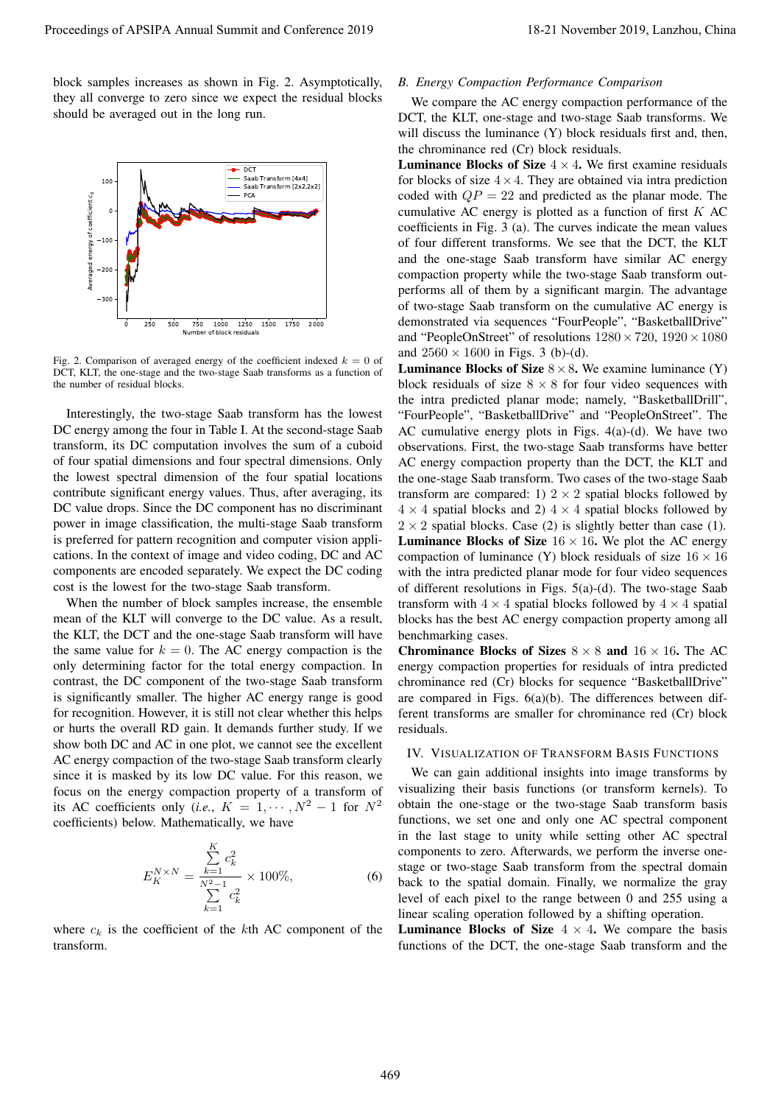block samples increases as shown in Fig. 2. Asymptotically, they all converge to zero since we expect the residual blocks should be averaged out in the long run.



Fig. 2. Comparison of averaged energy of the coefficient indexed  $k = 0$  of DCT, KLT, the one-stage and the two-stage Saab transforms as a function of the number of residual blocks.

Interestingly, the two-stage Saab transform has the lowest DC energy among the four in Table I. At the second-stage Saab transform, its DC computation involves the sum of a cuboid of four spatial dimensions and four spectral dimensions. Only the lowest spectral dimension of the four spatial locations contribute significant energy values. Thus, after averaging, its DC value drops. Since the DC component has no discriminant power in image classification, the multi-stage Saab transform is preferred for pattern recognition and computer vision applications. In the context of image and video coding, DC and AC components are encoded separately. We expect the DC coding cost is the lowest for the two-stage Saab transform.

When the number of block samples increase, the ensemble mean of the KLT will converge to the DC value. As a result, the KLT, the DCT and the one-stage Saab transform will have the same value for  $k = 0$ . The AC energy compaction is the only determining factor for the total energy compaction. In contrast, the DC component of the two-stage Saab transform is significantly smaller. The higher AC energy range is good for recognition. However, it is still not clear whether this helps or hurts the overall RD gain. It demands further study. If we show both DC and AC in one plot, we cannot see the excellent AC energy compaction of the two-stage Saab transform clearly since it is masked by its low DC value. For this reason, we focus on the energy compaction property of a transform of its AC coefficients only (*i.e.*,  $K = 1, \cdots, N^2 - 1$  for  $N^2$ coefficients) below. Mathematically, we have

$$
E_K^{N \times N} = \frac{\sum_{k=1}^K c_k^2}{\sum_{k=1}^{N^2 - 1} c_k^2} \times 100\%,
$$
 (6)

where  $c_k$  is the coefficient of the  $k$ th AC component of the transform.

# *B. Energy Compaction Performance Comparison*

We compare the AC energy compaction performance of the DCT, the KLT, one-stage and two-stage Saab transforms. We will discuss the luminance (Y) block residuals first and, then, the chrominance red (Cr) block residuals.

**Luminance Blocks of Size**  $4 \times 4$ . We first examine residuals for blocks of size  $4 \times 4$ . They are obtained via intra prediction coded with  $QP = 22$  and predicted as the planar mode. The cumulative AC energy is plotted as a function of first *K* AC coefficients in Fig. 3 (a). The curves indicate the mean values of four different transforms. We see that the DCT, the KLT and the one-stage Saab transform have similar AC energy compaction property while the two-stage Saab transform outperforms all of them by a significant margin. The advantage of two-stage Saab transform on the cumulative AC energy is demonstrated via sequences "FourPeople", "BasketballDrive" and "PeopleOnStreet" of resolutions 1280*×*720, 1920*×*1080 and  $2560 \times 1600$  in Figs. 3 (b)-(d).

**Luminance Blocks of Size**  $8 \times 8$ . We examine luminance (Y) block residuals of size  $8 \times 8$  for four video sequences with the intra predicted planar mode; namely, "BasketballDrill", "FourPeople", "BasketballDrive" and "PeopleOnStreet". The AC cumulative energy plots in Figs. 4(a)-(d). We have two observations. First, the two-stage Saab transforms have better AC energy compaction property than the DCT, the KLT and the one-stage Saab transform. Two cases of the two-stage Saab transform are compared: 1)  $2 \times 2$  spatial blocks followed by  $4 \times 4$  spatial blocks and 2)  $4 \times 4$  spatial blocks followed by  $2 \times 2$  spatial blocks. Case (2) is slightly better than case (1). **Luminance Blocks of Size**  $16 \times 16$ . We plot the AC energy compaction of luminance (Y) block residuals of size 16 *×* 16 with the intra predicted planar mode for four video sequences of different resolutions in Figs. 5(a)-(d). The two-stage Saab transform with  $4 \times 4$  spatial blocks followed by  $4 \times 4$  spatial blocks has the best AC energy compaction property among all benchmarking cases. Proceedings of APSIPA Annual Summit and Conference 2019 11-21 November 2019 11-21 November 2019 11-21 November 2019 12-21 November 2019 12-21 November 2019 12-21 November 2019 12-21 November 2019 12-21 November 2019 12-21

Chrominance Blocks of Sizes  $8 \times 8$  and  $16 \times 16$ . The AC energy compaction properties for residuals of intra predicted chrominance red (Cr) blocks for sequence "BasketballDrive" are compared in Figs. 6(a)(b). The differences between different transforms are smaller for chrominance red (Cr) block residuals.

## IV. VISUALIZATION OF TRANSFORM BASIS FUNCTIONS

We can gain additional insights into image transforms by visualizing their basis functions (or transform kernels). To obtain the one-stage or the two-stage Saab transform basis functions, we set one and only one AC spectral component in the last stage to unity while setting other AC spectral components to zero. Afterwards, we perform the inverse onestage or two-stage Saab transform from the spectral domain back to the spatial domain. Finally, we normalize the gray level of each pixel to the range between 0 and 255 using a linear scaling operation followed by a shifting operation.

**Luminance Blocks of Size**  $4 \times 4$ . We compare the basis functions of the DCT, the one-stage Saab transform and the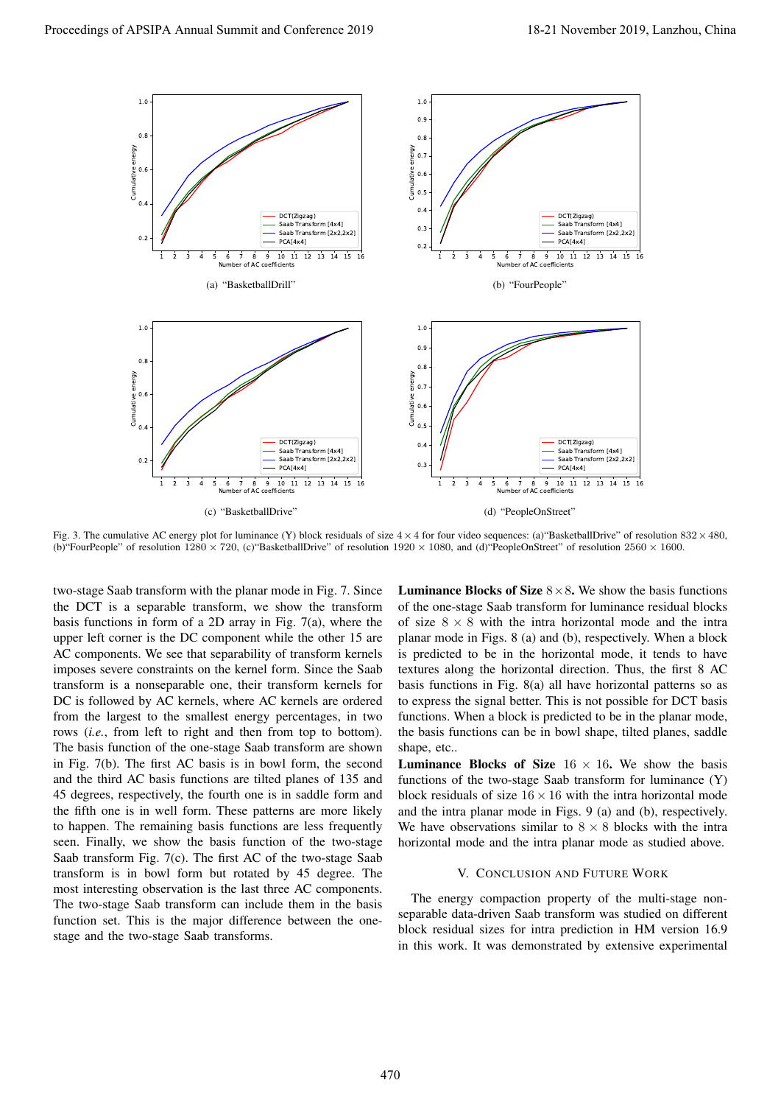

Fig. 3. The cumulative AC energy plot for luminance (Y) block residuals of size 4*×*4 for four video sequences: (a)"BasketballDrive" of resolution 832*×*480, (b)"FourPeople" of resolution 1280 *×* 720, (c)"BasketballDrive" of resolution 1920 *×* 1080, and (d)"PeopleOnStreet" of resolution 2560 *×* 1600.

two-stage Saab transform with the planar mode in Fig. 7. Since the DCT is a separable transform, we show the transform basis functions in form of a 2D array in Fig. 7(a), where the upper left corner is the DC component while the other 15 are AC components. We see that separability of transform kernels imposes severe constraints on the kernel form. Since the Saab transform is a nonseparable one, their transform kernels for DC is followed by AC kernels, where AC kernels are ordered from the largest to the smallest energy percentages, in two rows (*i.e.*, from left to right and then from top to bottom). The basis function of the one-stage Saab transform are shown in Fig. 7(b). The first AC basis is in bowl form, the second and the third AC basis functions are tilted planes of 135 and 45 degrees, respectively, the fourth one is in saddle form and the fifth one is in well form. These patterns are more likely to happen. The remaining basis functions are less frequently seen. Finally, we show the basis function of the two-stage Saab transform Fig. 7(c). The first AC of the two-stage Saab transform is in bowl form but rotated by 45 degree. The most interesting observation is the last three AC components. The two-stage Saab transform can include them in the basis function set. This is the major difference between the onestage and the two-stage Saab transforms.

**Luminance Blocks of Size**  $8 \times 8$ . We show the basis functions of the one-stage Saab transform for luminance residual blocks of size  $8 \times 8$  with the intra horizontal mode and the intra planar mode in Figs. 8 (a) and (b), respectively. When a block is predicted to be in the horizontal mode, it tends to have textures along the horizontal direction. Thus, the first 8 AC basis functions in Fig. 8(a) all have horizontal patterns so as to express the signal better. This is not possible for DCT basis functions. When a block is predicted to be in the planar mode, the basis functions can be in bowl shape, tilted planes, saddle shape, etc..

**Luminance Blocks of Size**  $16 \times 16$ . We show the basis functions of the two-stage Saab transform for luminance (Y) block residuals of size  $16 \times 16$  with the intra horizontal mode and the intra planar mode in Figs. 9 (a) and (b), respectively. We have observations similar to  $8 \times 8$  blocks with the intra horizontal mode and the intra planar mode as studied above.

## V. CONCLUSION AND FUTURE WORK

The energy compaction property of the multi-stage nonseparable data-driven Saab transform was studied on different block residual sizes for intra prediction in HM version 16.9 in this work. It was demonstrated by extensive experimental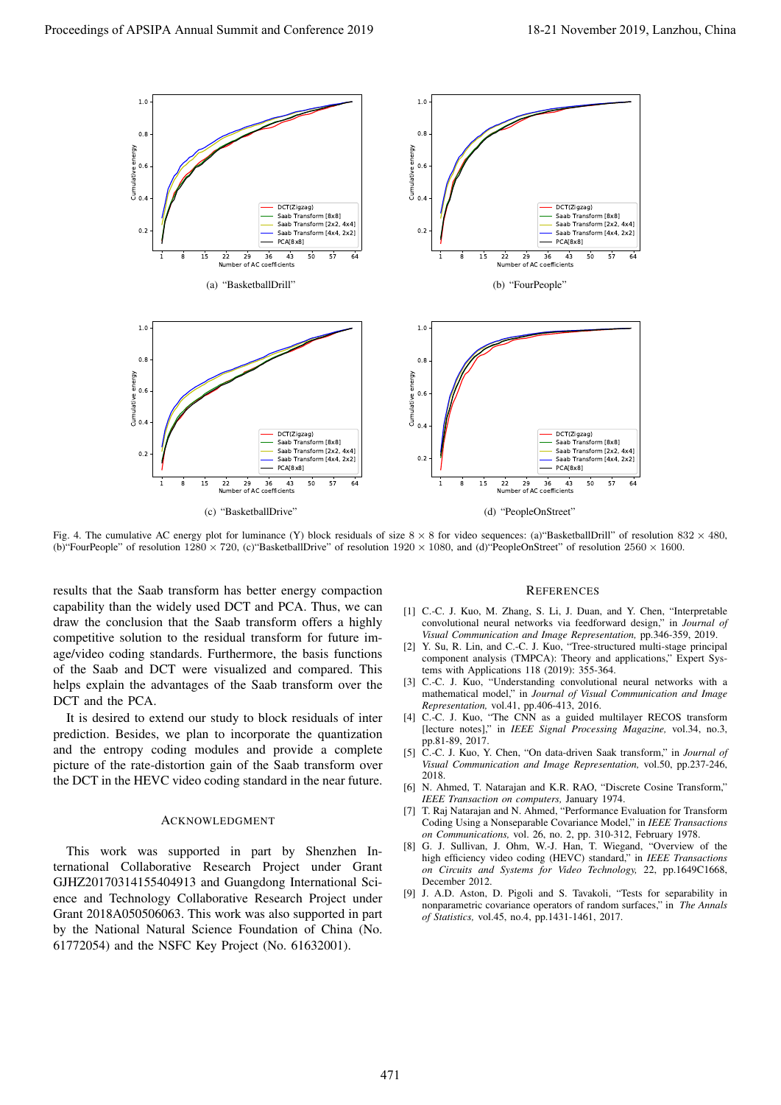

Fig. 4. The cumulative AC energy plot for luminance (Y) block residuals of size 8 *×* 8 for video sequences: (a)"BasketballDrill" of resolution 832 *×* 480, (b)"FourPeople" of resolution 1280 *×* 720, (c)"BasketballDrive" of resolution 1920 *×* 1080, and (d)"PeopleOnStreet" of resolution 2560 *×* 1600.

results that the Saab transform has better energy compaction capability than the widely used DCT and PCA. Thus, we can draw the conclusion that the Saab transform offers a highly competitive solution to the residual transform for future image/video coding standards. Furthermore, the basis functions of the Saab and DCT were visualized and compared. This helps explain the advantages of the Saab transform over the DCT and the PCA.

It is desired to extend our study to block residuals of inter prediction. Besides, we plan to incorporate the quantization and the entropy coding modules and provide a complete picture of the rate-distortion gain of the Saab transform over the DCT in the HEVC video coding standard in the near future.

### ACKNOWLEDGMENT

This work was supported in part by Shenzhen International Collaborative Research Project under Grant GJHZ20170314155404913 and Guangdong International Science and Technology Collaborative Research Project under Grant 2018A050506063. This work was also supported in part by the National Natural Science Foundation of China (No. 61772054) and the NSFC Key Project (No. 61632001).

### **REFERENCES**

- [1] C.-C. J. Kuo, M. Zhang, S. Li, J. Duan, and Y. Chen, "Interpretable convolutional neural networks via feedforward design," in *Journal of Visual Communication and Image Representation,* pp.346-359, 2019.
- [2] Y. Su, R. Lin, and C.-C. J. Kuo, "Tree-structured multi-stage principal component analysis (TMPCA): Theory and applications," Expert Systems with Applications 118 (2019): 355-364.
- [3] C.-C. J. Kuo, "Understanding convolutional neural networks with a mathematical model," in *Journal of Visual Communication and Image Representation,* vol.41, pp.406-413, 2016.
- [4] C.-C. J. Kuo, "The CNN as a guided multilayer RECOS transform [lecture notes]," in *IEEE Signal Processing Magazine,* vol.34, no.3, pp.81-89, 2017.
- [5] C.-C. J. Kuo, Y. Chen, "On data-driven Saak transform," in *Journal of Visual Communication and Image Representation,* vol.50, pp.237-246, 2018.
- [6] N. Ahmed, T. Natarajan and K.R. RAO, "Discrete Cosine Transform," *IEEE Transaction on computers,* January 1974.
- [7] T. Raj Natarajan and N. Ahmed, "Performance Evaluation for Transform Coding Using a Nonseparable Covariance Model," in *IEEE Transactions on Communications,* vol. 26, no. 2, pp. 310-312, February 1978.
- [8] G. J. Sullivan, J. Ohm, W.-J. Han, T. Wiegand, "Overview of the high efficiency video coding (HEVC) standard," in *IEEE Transactions on Circuits and Systems for Video Technology,* 22, pp.1649C1668, December 2012.
- [9] J. A.D. Aston, D. Pigoli and S. Tavakoli, "Tests for separability in nonparametric covariance operators of random surfaces," in *The Annals of Statistics,* vol.45, no.4, pp.1431-1461, 2017.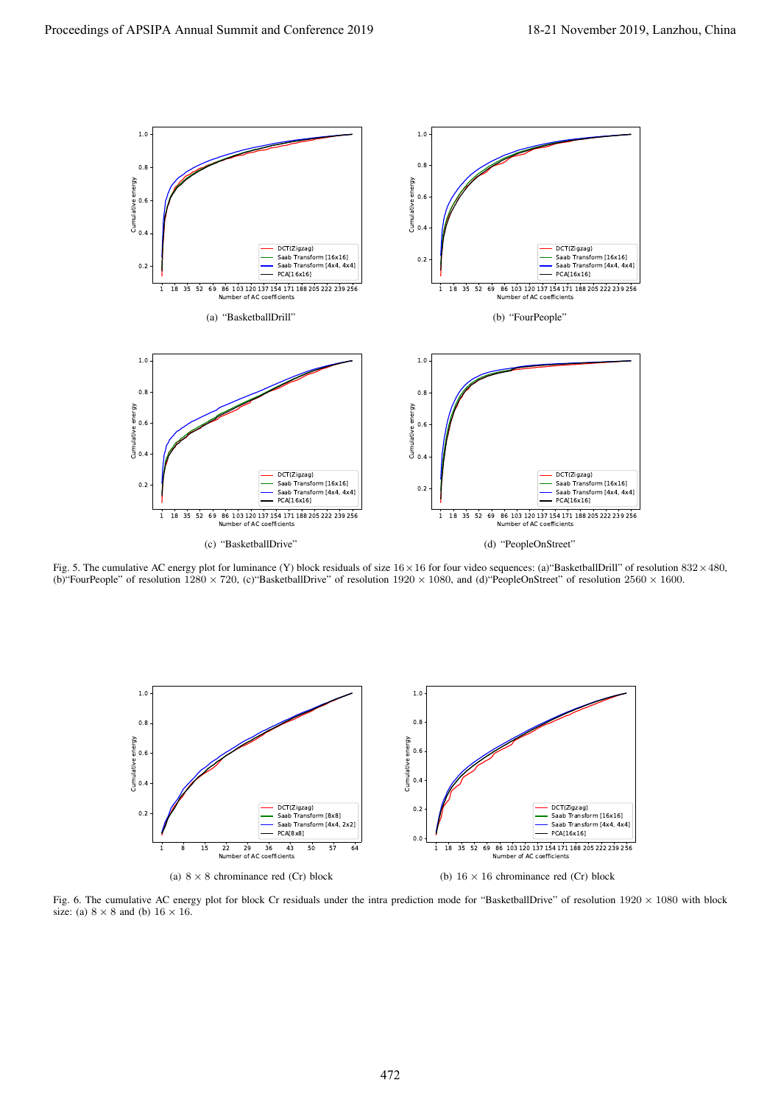

Fig. 5. The cumulative AC energy plot for luminance (Y) block residuals of size 16*×*16 for four video sequences: (a)"BasketballDrill" of resolution 832*×*480, (b)"FourPeople" of resolution 1280 *×* 720, (c)"BasketballDrive" of resolution 1920 *×* 1080, and (d)"PeopleOnStreet" of resolution 2560 *×* 1600.



Fig. 6. The cumulative AC energy plot for block Cr residuals under the intra prediction mode for "BasketballDrive" of resolution 1920 *×* 1080 with block size: (a)  $8 \times 8$  and (b)  $16 \times 16$ .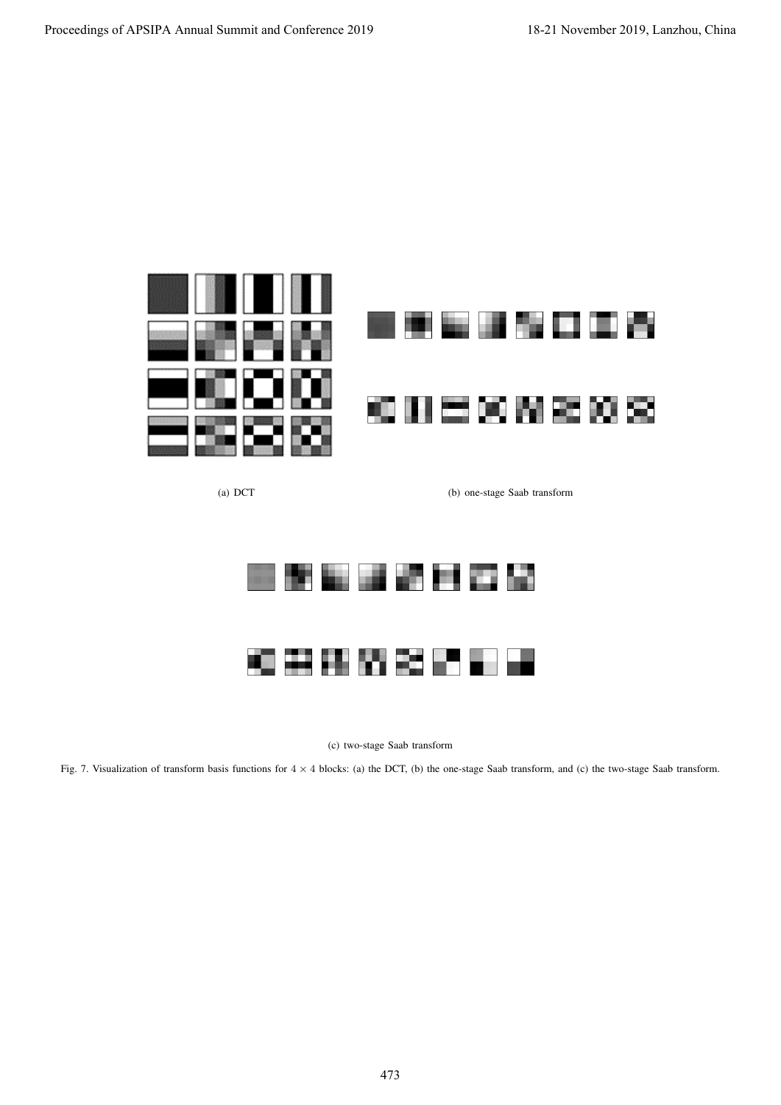

(a) DCT (b) one-stage Saab transform



(c) two-stage Saab transform

Fig. 7. Visualization of transform basis functions for  $4 \times 4$  blocks: (a) the DCT, (b) the one-stage Saab transform, and (c) the two-stage Saab transform.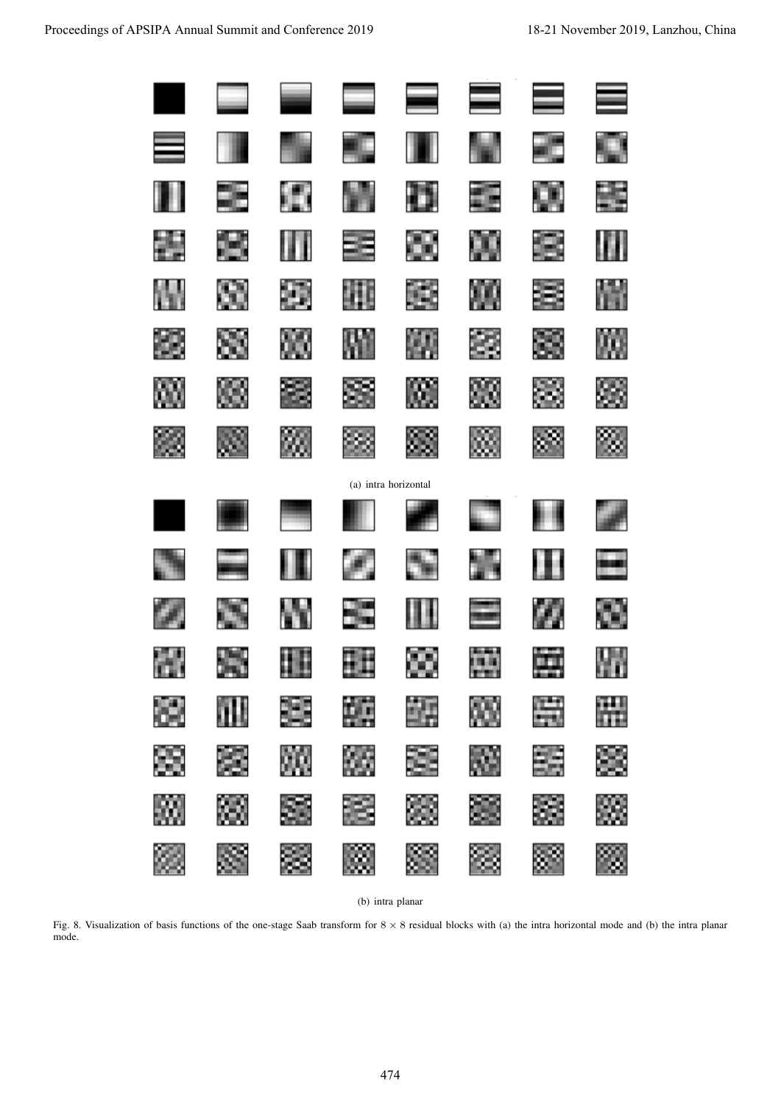| Proceedings of APSIPA Annual Summit and Conference 2019                                                                                                                        |     |     |    |                |                      |                 |    | 18-21 November 2019, Lanzhou, China |  |  |  |
|--------------------------------------------------------------------------------------------------------------------------------------------------------------------------------|-----|-----|----|----------------|----------------------|-----------------|----|-------------------------------------|--|--|--|
|                                                                                                                                                                                |     |     |    |                |                      | $\blacklozenge$ |    |                                     |  |  |  |
|                                                                                                                                                                                |     |     |    |                |                      |                 |    |                                     |  |  |  |
|                                                                                                                                                                                |     | ٣ř  |    |                |                      | E               |    | S.                                  |  |  |  |
|                                                                                                                                                                                |     |     |    |                | u u                  | <b>THE R</b>    | 2  | W                                   |  |  |  |
|                                                                                                                                                                                |     | S   | Đ  |                | f.                   |                 | E, | H                                   |  |  |  |
|                                                                                                                                                                                | 懲   | ×   | 鷆  |                | 凞                    | 54              | 簶  | 鷴                                   |  |  |  |
|                                                                                                                                                                                | 6N) | œ   | 8  | S,             | 腏.                   | X               | 鷚  | 83                                  |  |  |  |
|                                                                                                                                                                                | Ø3  | X   | W. | C)             | 83                   | ŵ.              | æ, | ≫                                   |  |  |  |
|                                                                                                                                                                                |     |     |    |                | (a) intra horizontal |                 |    |                                     |  |  |  |
|                                                                                                                                                                                |     |     |    |                |                      |                 |    |                                     |  |  |  |
|                                                                                                                                                                                |     |     |    |                |                      |                 |    |                                     |  |  |  |
|                                                                                                                                                                                | H.  | 地 化 | w  | <b>The Sea</b> | ITI                  | <b>Bandale</b>  | W  | CV.                                 |  |  |  |
|                                                                                                                                                                                |     |     |    |                |                      | <b>THE R</b>    |    |                                     |  |  |  |
|                                                                                                                                                                                |     |     |    |                |                      |                 |    |                                     |  |  |  |
|                                                                                                                                                                                |     |     |    |                |                      |                 |    |                                     |  |  |  |
|                                                                                                                                                                                |     |     |    |                |                      |                 |    |                                     |  |  |  |
|                                                                                                                                                                                |     |     |    |                |                      |                 |    |                                     |  |  |  |
|                                                                                                                                                                                |     |     |    |                | (b) intra planar     |                 |    |                                     |  |  |  |
| Fig. 8. Visualization of basis functions of the one-stage Saab transform for $8 \times 8$ residual blocks with (a) the intra horizontal mode and (b) the intra planar<br>mode. |     |     |    |                |                      |                 |    |                                     |  |  |  |
|                                                                                                                                                                                |     |     |    |                |                      |                 |    |                                     |  |  |  |
|                                                                                                                                                                                |     |     |    |                |                      |                 |    |                                     |  |  |  |
|                                                                                                                                                                                |     |     |    |                |                      |                 |    |                                     |  |  |  |
|                                                                                                                                                                                |     |     |    |                |                      |                 |    |                                     |  |  |  |
| 474                                                                                                                                                                            |     |     |    |                |                      |                 |    |                                     |  |  |  |

(b) intra planar

Fig. 8. Visualization of basis functions of the one-stage Saab transform for 8 *×* 8 residual blocks with (a) the intra horizontal mode and (b) the intra planar mode.